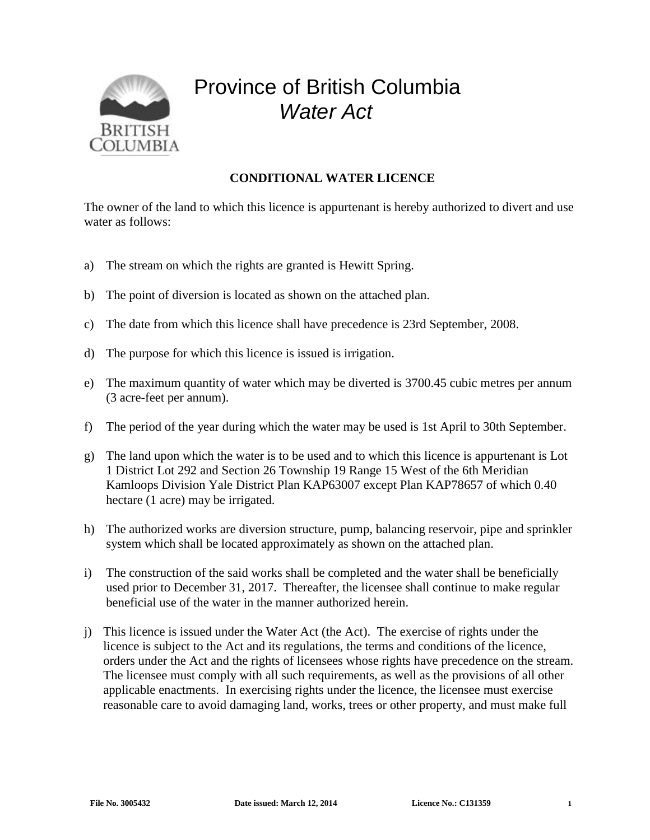

## Province of British Columbia *Water Act*

## **CONDITIONAL WATER LICENCE**

The owner of the land to which this licence is appurtenant is hereby authorized to divert and use water as follows:

- a) The stream on which the rights are granted is Hewitt Spring.
- b) The point of diversion is located as shown on the attached plan.
- c) The date from which this licence shall have precedence is 23rd September, 2008.
- d) The purpose for which this licence is issued is irrigation.
- e) The maximum quantity of water which may be diverted is 3700.45 cubic metres per annum (3 acre-feet per annum).
- f) The period of the year during which the water may be used is 1st April to 30th September.
- g) The land upon which the water is to be used and to which this licence is appurtenant is Lot 1 District Lot 292 and Section 26 Township 19 Range 15 West of the 6th Meridian Kamloops Division Yale District Plan KAP63007 except Plan KAP78657 of which 0.40 hectare (1 acre) may be irrigated.
- h) The authorized works are diversion structure, pump, balancing reservoir, pipe and sprinkler system which shall be located approximately as shown on the attached plan.
- i) The construction of the said works shall be completed and the water shall be beneficially used prior to December 31, 2017. Thereafter, the licensee shall continue to make regular beneficial use of the water in the manner authorized herein.
- j) This licence is issued under the Water Act (the Act). The exercise of rights under the licence is subject to the Act and its regulations, the terms and conditions of the licence, orders under the Act and the rights of licensees whose rights have precedence on the stream. The licensee must comply with all such requirements, as well as the provisions of all other applicable enactments. In exercising rights under the licence, the licensee must exercise reasonable care to avoid damaging land, works, trees or other property, and must make full